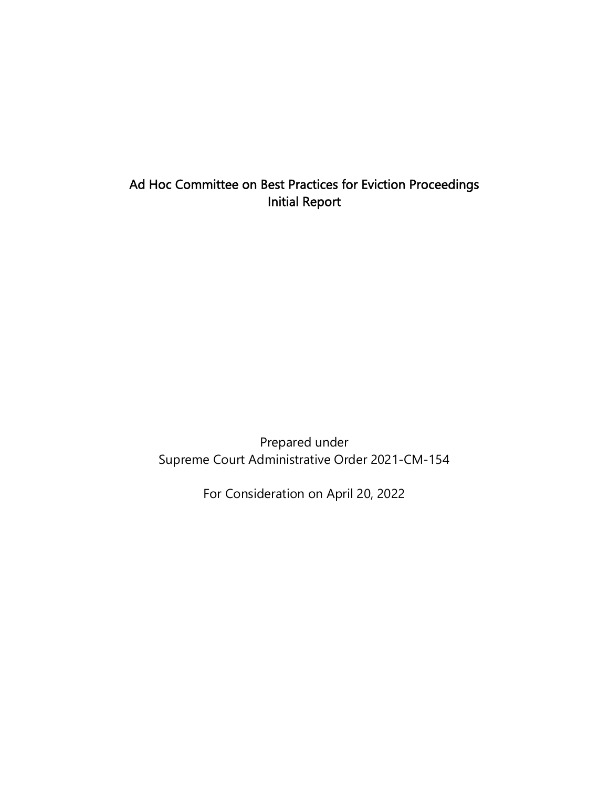# Ad Hoc Committee on Best Practices for Eviction Proceedings Initial Report

Prepared under Supreme Court Administrative Order 2021-CM-154

For Consideration on April 20, 2022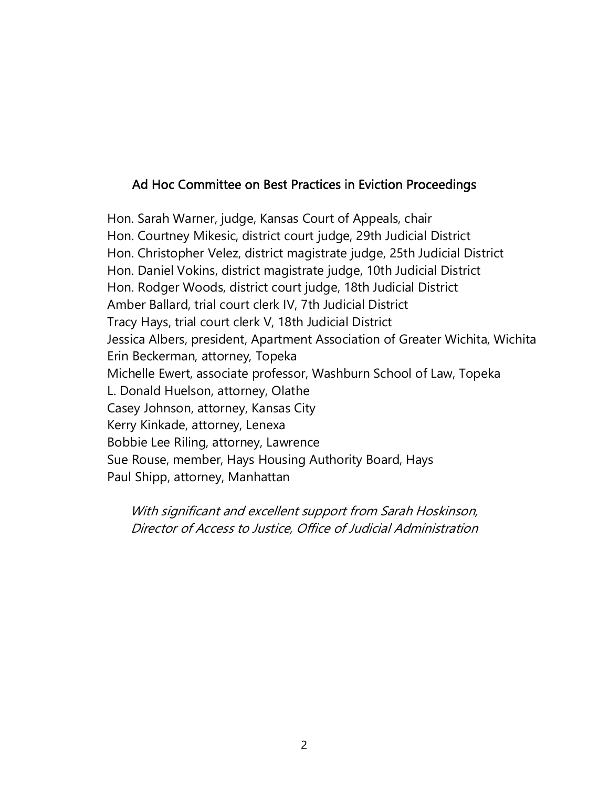### Ad Hoc Committee on Best Practices in Eviction Proceedings

Hon. Sarah Warner, judge, Kansas Court of Appeals, chair Hon. Courtney Mikesic, district court judge, 29th Judicial District Hon. Christopher Velez, district magistrate judge, 25th Judicial District Hon. Daniel Vokins, district magistrate judge, 10th Judicial District Hon. Rodger Woods, district court judge, 18th Judicial District Amber Ballard, trial court clerk IV, 7th Judicial District Tracy Hays, trial court clerk V, 18th Judicial District Jessica Albers, president, Apartment Association of Greater Wichita, Wichita Erin Beckerman, attorney, Topeka Michelle Ewert, associate professor, Washburn School of Law, Topeka L. Donald Huelson, attorney, Olathe Casey Johnson, attorney, Kansas City Kerry Kinkade, attorney, Lenexa Bobbie Lee Riling, attorney, Lawrence Sue Rouse, member, Hays Housing Authority Board, Hays Paul Shipp, attorney, Manhattan

With significant and excellent support from Sarah Hoskinson, Director of Access to Justice, Office of Judicial Administration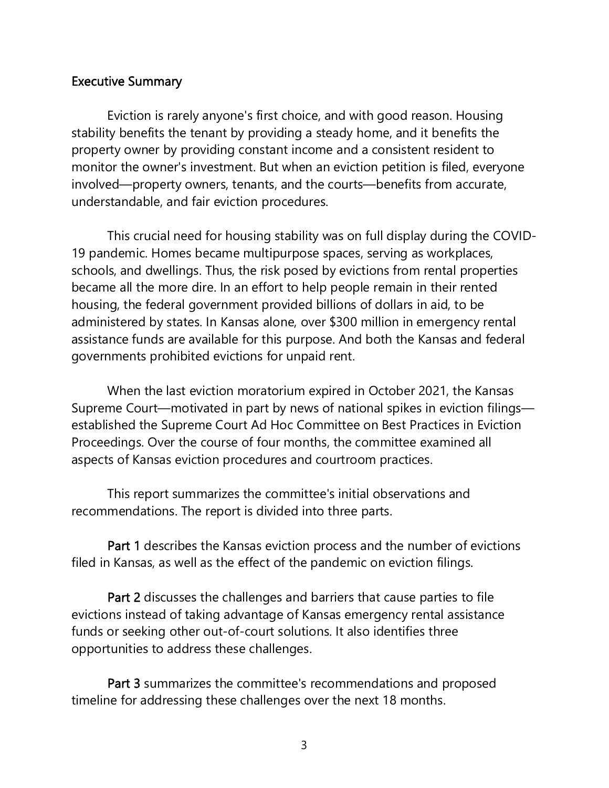#### Executive Summary

Eviction is rarely anyone's first choice, and with good reason. Housing stability benefits the tenant by providing a steady home, and it benefits the property owner by providing constant income and a consistent resident to monitor the owner's investment. But when an eviction petition is filed, everyone involved—property owners, tenants, and the courts—benefits from accurate, understandable, and fair eviction procedures.

This crucial need for housing stability was on full display during the COVID-19 pandemic. Homes became multipurpose spaces, serving as workplaces, schools, and dwellings. Thus, the risk posed by evictions from rental properties became all the more dire. In an effort to help people remain in their rented housing, the federal government provided billions of dollars in aid, to be administered by states. In Kansas alone, over \$300 million in emergency rental assistance funds are available for this purpose. And both the Kansas and federal governments prohibited evictions for unpaid rent.

When the last eviction moratorium expired in October 2021, the Kansas Supreme Court—motivated in part by news of national spikes in eviction filings established the Supreme Court Ad Hoc Committee on Best Practices in Eviction Proceedings. Over the course of four months, the committee examined all aspects of Kansas eviction procedures and courtroom practices.

This report summarizes the committee's initial observations and recommendations. The report is divided into three parts.

Part 1 describes the Kansas eviction process and the number of evictions filed in Kansas, as well as the effect of the pandemic on eviction filings.

Part 2 discusses the challenges and barriers that cause parties to file evictions instead of taking advantage of Kansas emergency rental assistance funds or seeking other out-of-court solutions. It also identifies three opportunities to address these challenges.

Part 3 summarizes the committee's recommendations and proposed timeline for addressing these challenges over the next 18 months.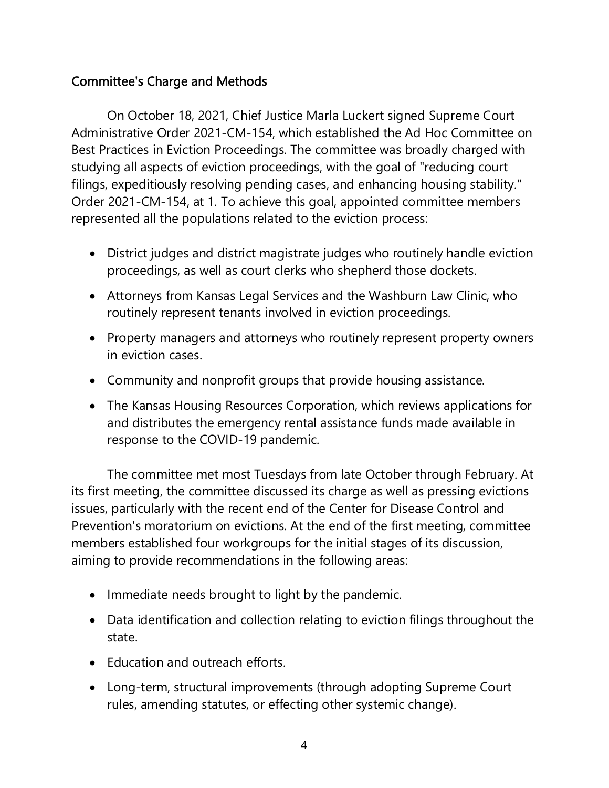# Committee's Charge and Methods

On October 18, 2021, Chief Justice Marla Luckert signed Supreme Court Administrative Order 2021-CM-154, which established the Ad Hoc Committee on Best Practices in Eviction Proceedings. The committee was broadly charged with studying all aspects of eviction proceedings, with the goal of "reducing court filings, expeditiously resolving pending cases, and enhancing housing stability." Order 2021-CM-154, at 1. To achieve this goal, appointed committee members represented all the populations related to the eviction process:

- District judges and district magistrate judges who routinely handle eviction proceedings, as well as court clerks who shepherd those dockets.
- Attorneys from Kansas Legal Services and the Washburn Law Clinic, who routinely represent tenants involved in eviction proceedings.
- Property managers and attorneys who routinely represent property owners in eviction cases.
- Community and nonprofit groups that provide housing assistance.
- The Kansas Housing Resources Corporation, which reviews applications for and distributes the emergency rental assistance funds made available in response to the COVID-19 pandemic.

The committee met most Tuesdays from late October through February. At its first meeting, the committee discussed its charge as well as pressing evictions issues, particularly with the recent end of the Center for Disease Control and Prevention's moratorium on evictions. At the end of the first meeting, committee members established four workgroups for the initial stages of its discussion, aiming to provide recommendations in the following areas:

- Immediate needs brought to light by the pandemic.
- Data identification and collection relating to eviction filings throughout the state.
- Education and outreach efforts.
- Long-term, structural improvements (through adopting Supreme Court rules, amending statutes, or effecting other systemic change).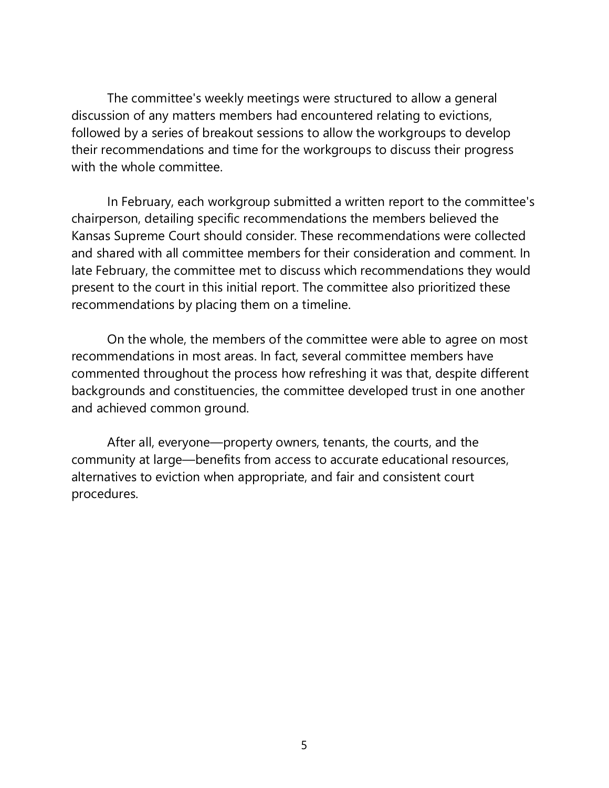The committee's weekly meetings were structured to allow a general discussion of any matters members had encountered relating to evictions, followed by a series of breakout sessions to allow the workgroups to develop their recommendations and time for the workgroups to discuss their progress with the whole committee.

In February, each workgroup submitted a written report to the committee's chairperson, detailing specific recommendations the members believed the Kansas Supreme Court should consider. These recommendations were collected and shared with all committee members for their consideration and comment. In late February, the committee met to discuss which recommendations they would present to the court in this initial report. The committee also prioritized these recommendations by placing them on a timeline.

On the whole, the members of the committee were able to agree on most recommendations in most areas. In fact, several committee members have commented throughout the process how refreshing it was that, despite different backgrounds and constituencies, the committee developed trust in one another and achieved common ground.

After all, everyone—property owners, tenants, the courts, and the community at large—benefits from access to accurate educational resources, alternatives to eviction when appropriate, and fair and consistent court procedures.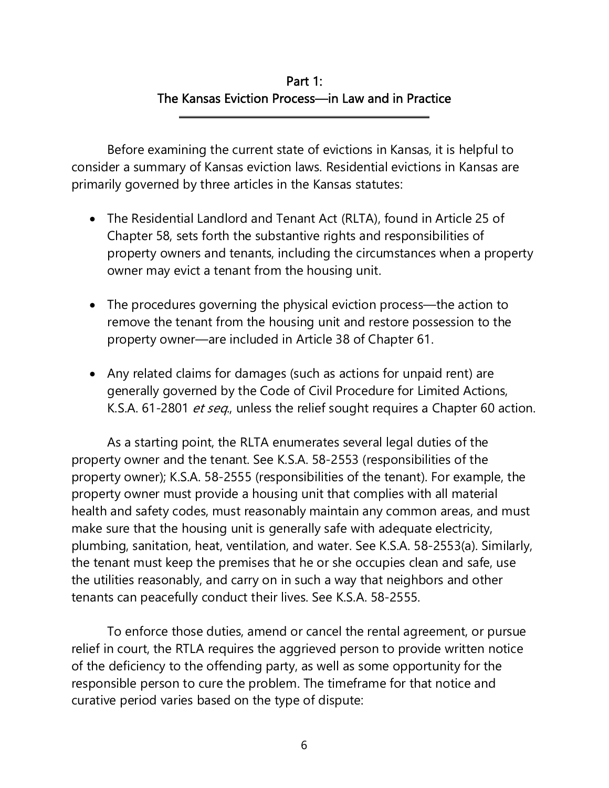# Part 1: The Kansas Eviction Process—in Law and in Practice

Before examining the current state of evictions in Kansas, it is helpful to consider a summary of Kansas eviction laws. Residential evictions in Kansas are primarily governed by three articles in the Kansas statutes:

l

- The Residential Landlord and Tenant Act (RLTA), found in Article 25 of Chapter 58, sets forth the substantive rights and responsibilities of property owners and tenants, including the circumstances when a property owner may evict a tenant from the housing unit.
- The procedures governing the physical eviction process—the action to remove the tenant from the housing unit and restore possession to the property owner—are included in Article 38 of Chapter 61.
- Any related claims for damages (such as actions for unpaid rent) are generally governed by the Code of Civil Procedure for Limited Actions, K.S.A. 61-2801 *et seq.*, unless the relief sought requires a Chapter 60 action.

As a starting point, the RLTA enumerates several legal duties of the property owner and the tenant. See K.S.A. 58-2553 (responsibilities of the property owner); K.S.A. 58-2555 (responsibilities of the tenant). For example, the property owner must provide a housing unit that complies with all material health and safety codes, must reasonably maintain any common areas, and must make sure that the housing unit is generally safe with adequate electricity, plumbing, sanitation, heat, ventilation, and water. See K.S.A. 58-2553(a). Similarly, the tenant must keep the premises that he or she occupies clean and safe, use the utilities reasonably, and carry on in such a way that neighbors and other tenants can peacefully conduct their lives. See K.S.A. 58-2555.

To enforce those duties, amend or cancel the rental agreement, or pursue relief in court, the RTLA requires the aggrieved person to provide written notice of the deficiency to the offending party, as well as some opportunity for the responsible person to cure the problem. The timeframe for that notice and curative period varies based on the type of dispute: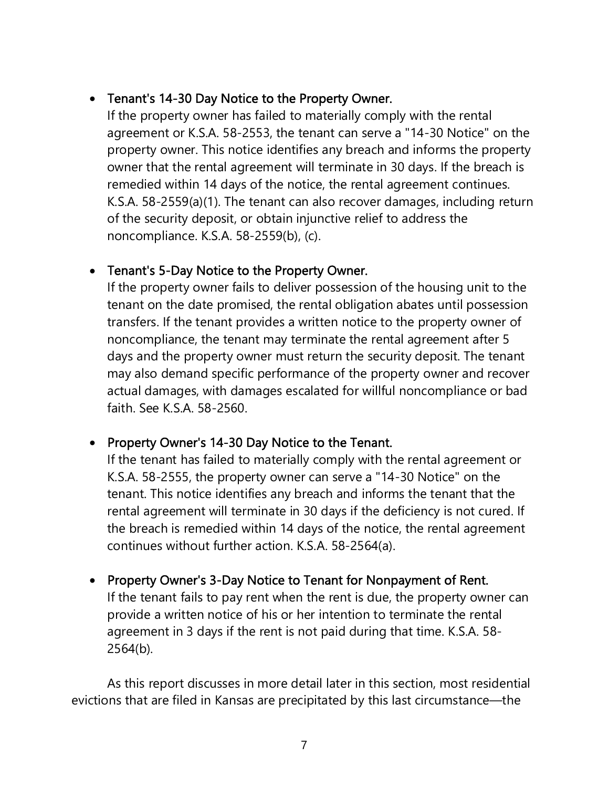### Tenant's 14-30 Day Notice to the Property Owner.

If the property owner has failed to materially comply with the rental agreement or K.S.A. 58-2553, the tenant can serve a "14-30 Notice" on the property owner. This notice identifies any breach and informs the property owner that the rental agreement will terminate in 30 days. If the breach is remedied within 14 days of the notice, the rental agreement continues. K.S.A. 58-2559(a)(1). The tenant can also recover damages, including return of the security deposit, or obtain injunctive relief to address the noncompliance. K.S.A. 58-2559(b), (c).

### Tenant's 5-Day Notice to the Property Owner.

If the property owner fails to deliver possession of the housing unit to the tenant on the date promised, the rental obligation abates until possession transfers. If the tenant provides a written notice to the property owner of noncompliance, the tenant may terminate the rental agreement after 5 days and the property owner must return the security deposit. The tenant may also demand specific performance of the property owner and recover actual damages, with damages escalated for willful noncompliance or bad faith. See K.S.A. 58-2560.

### • Property Owner's 14-30 Day Notice to the Tenant.

If the tenant has failed to materially comply with the rental agreement or K.S.A. 58-2555, the property owner can serve a "14-30 Notice" on the tenant. This notice identifies any breach and informs the tenant that the rental agreement will terminate in 30 days if the deficiency is not cured. If the breach is remedied within 14 days of the notice, the rental agreement continues without further action. K.S.A. 58-2564(a).

### • Property Owner's 3-Day Notice to Tenant for Nonpayment of Rent. If the tenant fails to pay rent when the rent is due, the property owner can provide a written notice of his or her intention to terminate the rental agreement in 3 days if the rent is not paid during that time. K.S.A. 58- 2564(b).

As this report discusses in more detail later in this section, most residential evictions that are filed in Kansas are precipitated by this last circumstance—the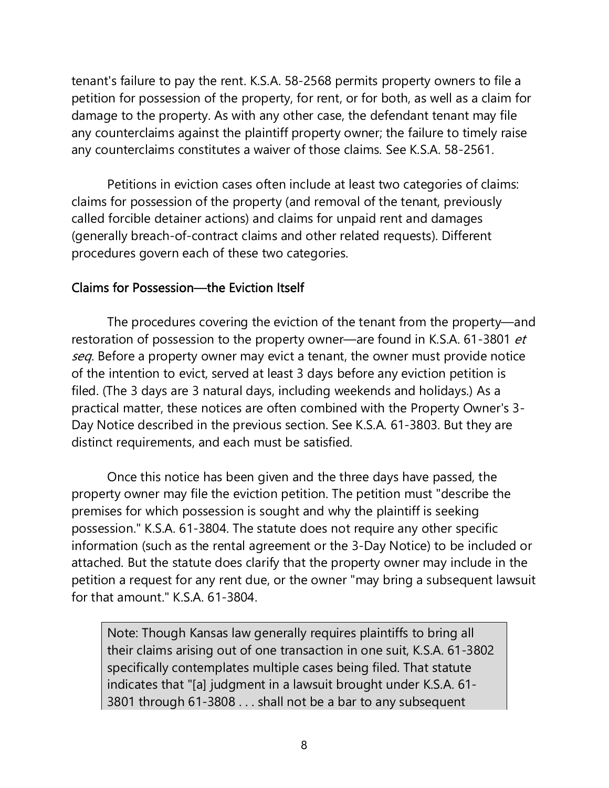tenant's failure to pay the rent. K.S.A. 58-2568 permits property owners to file a petition for possession of the property, for rent, or for both, as well as a claim for damage to the property. As with any other case, the defendant tenant may file any counterclaims against the plaintiff property owner; the failure to timely raise any counterclaims constitutes a waiver of those claims. See K.S.A. 58-2561.

 Petitions in eviction cases often include at least two categories of claims: claims for possession of the property (and removal of the tenant, previously called forcible detainer actions) and claims for unpaid rent and damages (generally breach-of-contract claims and other related requests). Different procedures govern each of these two categories.

#### Claims for Possession—the Eviction Itself

 The procedures covering the eviction of the tenant from the property—and restoration of possession to the property owner—are found in K.S.A. 61-3801 et seq. Before a property owner may evict a tenant, the owner must provide notice of the intention to evict, served at least 3 days before any eviction petition is filed. (The 3 days are 3 natural days, including weekends and holidays.) As a practical matter, these notices are often combined with the Property Owner's 3- Day Notice described in the previous section. See K.S.A. 61-3803. But they are distinct requirements, and each must be satisfied.

Once this notice has been given and the three days have passed, the property owner may file the eviction petition. The petition must "describe the premises for which possession is sought and why the plaintiff is seeking possession." K.S.A. 61-3804. The statute does not require any other specific information (such as the rental agreement or the 3-Day Notice) to be included or attached. But the statute does clarify that the property owner may include in the petition a request for any rent due, or the owner "may bring a subsequent lawsuit for that amount." K.S.A. 61-3804.

Note: Though Kansas law generally requires plaintiffs to bring all their claims arising out of one transaction in one suit, K.S.A. 61-3802 specifically contemplates multiple cases being filed. That statute indicates that "[a] judgment in a lawsuit brought under K.S.A. 61- 3801 through 61-3808 . . . shall not be a bar to any subsequent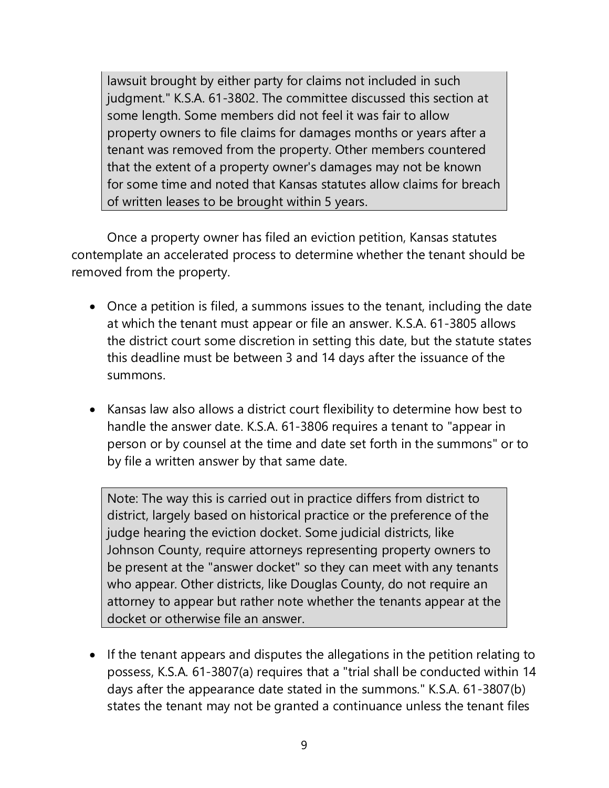lawsuit brought by either party for claims not included in such judgment." K.S.A. 61-3802. The committee discussed this section at some length. Some members did not feel it was fair to allow property owners to file claims for damages months or years after a tenant was removed from the property. Other members countered that the extent of a property owner's damages may not be known for some time and noted that Kansas statutes allow claims for breach of written leases to be brought within 5 years.

 Once a property owner has filed an eviction petition, Kansas statutes contemplate an accelerated process to determine whether the tenant should be removed from the property.

- Once a petition is filed, a summons issues to the tenant, including the date at which the tenant must appear or file an answer. K.S.A. 61-3805 allows the district court some discretion in setting this date, but the statute states this deadline must be between 3 and 14 days after the issuance of the summons.
- Kansas law also allows a district court flexibility to determine how best to handle the answer date. K.S.A. 61-3806 requires a tenant to "appear in person or by counsel at the time and date set forth in the summons" or to by file a written answer by that same date.

Note: The way this is carried out in practice differs from district to district, largely based on historical practice or the preference of the judge hearing the eviction docket. Some judicial districts, like Johnson County, require attorneys representing property owners to be present at the "answer docket" so they can meet with any tenants who appear. Other districts, like Douglas County, do not require an attorney to appear but rather note whether the tenants appear at the docket or otherwise file an answer.

• If the tenant appears and disputes the allegations in the petition relating to possess, K.S.A. 61-3807(a) requires that a "trial shall be conducted within 14 days after the appearance date stated in the summons." K.S.A. 61-3807(b) states the tenant may not be granted a continuance unless the tenant files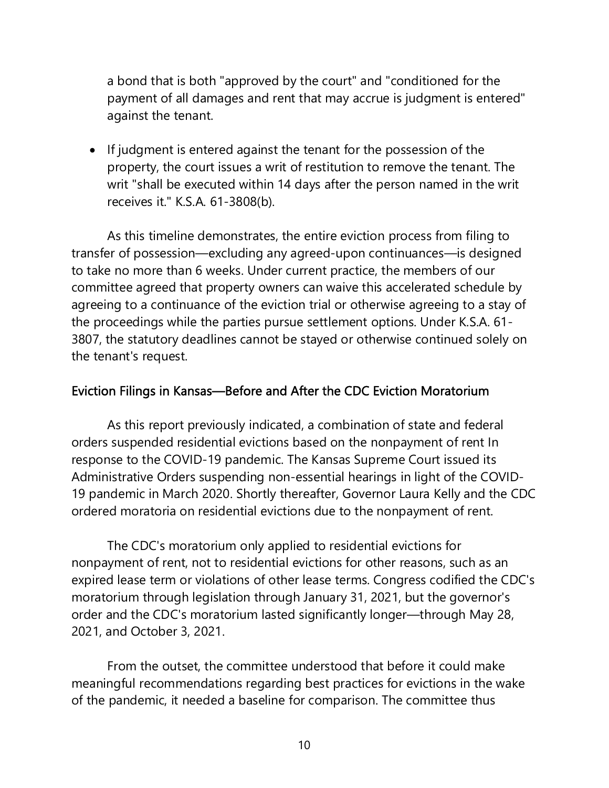a bond that is both "approved by the court" and "conditioned for the payment of all damages and rent that may accrue is judgment is entered" against the tenant.

• If judgment is entered against the tenant for the possession of the property, the court issues a writ of restitution to remove the tenant. The writ "shall be executed within 14 days after the person named in the writ receives it." K.S.A. 61-3808(b).

As this timeline demonstrates, the entire eviction process from filing to transfer of possession—excluding any agreed-upon continuances—is designed to take no more than 6 weeks. Under current practice, the members of our committee agreed that property owners can waive this accelerated schedule by agreeing to a continuance of the eviction trial or otherwise agreeing to a stay of the proceedings while the parties pursue settlement options. Under K.S.A. 61- 3807, the statutory deadlines cannot be stayed or otherwise continued solely on the tenant's request.

#### Eviction Filings in Kansas—Before and After the CDC Eviction Moratorium

As this report previously indicated, a combination of state and federal orders suspended residential evictions based on the nonpayment of rent In response to the COVID-19 pandemic. The Kansas Supreme Court issued its Administrative Orders suspending non-essential hearings in light of the COVID-19 pandemic in March 2020. Shortly thereafter, Governor Laura Kelly and the CDC ordered moratoria on residential evictions due to the nonpayment of rent.

The CDC's moratorium only applied to residential evictions for nonpayment of rent, not to residential evictions for other reasons, such as an expired lease term or violations of other lease terms. Congress codified the CDC's moratorium through legislation through January 31, 2021, but the governor's order and the CDC's moratorium lasted significantly longer—through May 28, 2021, and October 3, 2021.

From the outset, the committee understood that before it could make meaningful recommendations regarding best practices for evictions in the wake of the pandemic, it needed a baseline for comparison. The committee thus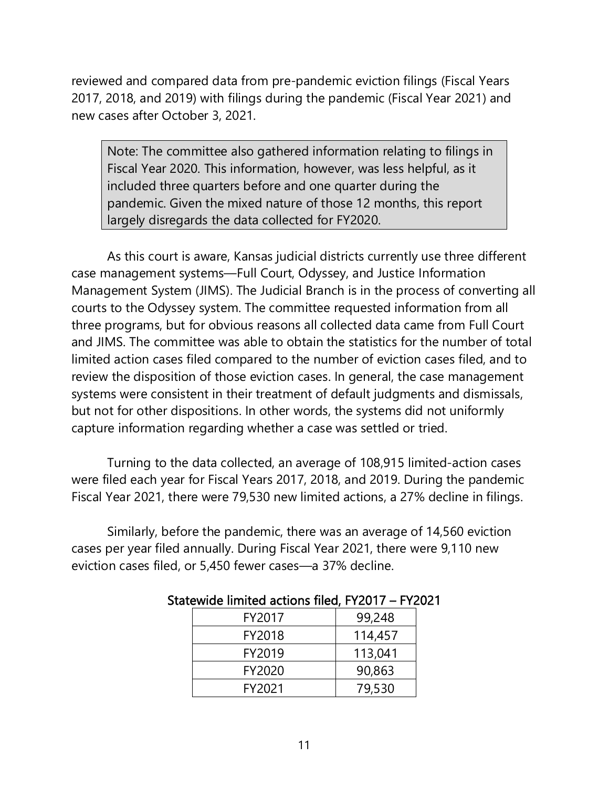reviewed and compared data from pre-pandemic eviction filings (Fiscal Years 2017, 2018, and 2019) with filings during the pandemic (Fiscal Year 2021) and new cases after October 3, 2021.

Note: The committee also gathered information relating to filings in Fiscal Year 2020. This information, however, was less helpful, as it included three quarters before and one quarter during the pandemic. Given the mixed nature of those 12 months, this report largely disregards the data collected for FY2020.

As this court is aware, Kansas judicial districts currently use three different case management systems—Full Court, Odyssey, and Justice Information Management System (JIMS). The Judicial Branch is in the process of converting all courts to the Odyssey system. The committee requested information from all three programs, but for obvious reasons all collected data came from Full Court and JIMS. The committee was able to obtain the statistics for the number of total limited action cases filed compared to the number of eviction cases filed, and to review the disposition of those eviction cases. In general, the case management systems were consistent in their treatment of default judgments and dismissals, but not for other dispositions. In other words, the systems did not uniformly capture information regarding whether a case was settled or tried.

Turning to the data collected, an average of 108,915 limited-action cases were filed each year for Fiscal Years 2017, 2018, and 2019. During the pandemic Fiscal Year 2021, there were 79,530 new limited actions, a 27% decline in filings.

Similarly, before the pandemic, there was an average of 14,560 eviction cases per year filed annually. During Fiscal Year 2021, there were 9,110 new eviction cases filed, or 5,450 fewer cases—a 37% decline.

| FY2017 | 99,248  |
|--------|---------|
| FY2018 | 114,457 |
| FY2019 | 113,041 |
| FY2020 | 90,863  |
| FY2021 | 79,530  |

#### Statewide limited actions filed, FY2017 – FY2021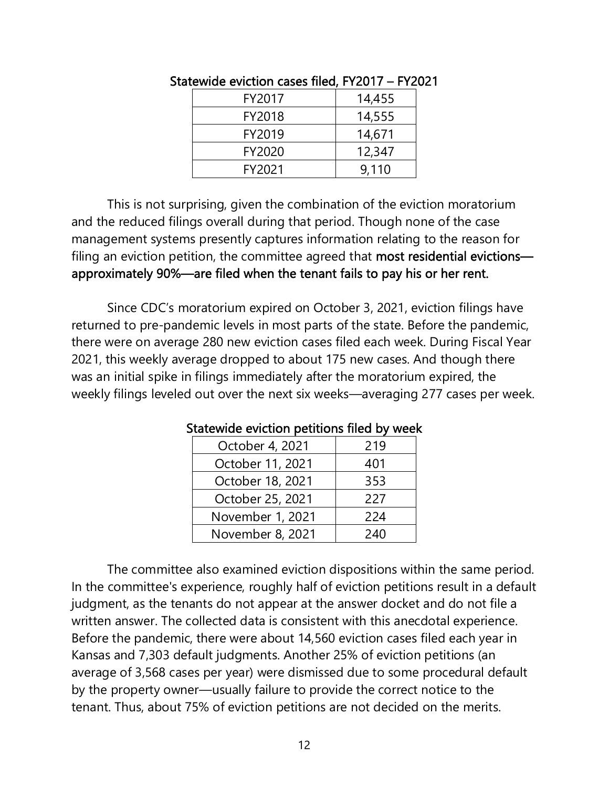| FY2017 | 14,455 |
|--------|--------|
| FY2018 | 14,555 |
| FY2019 | 14,671 |
| FY2020 | 12,347 |
| FY2021 | 9.110  |

Statewide eviction cases filed, FY2017 – FY2021

This is not surprising, given the combination of the eviction moratorium and the reduced filings overall during that period. Though none of the case management systems presently captures information relating to the reason for filing an eviction petition, the committee agreed that most residential evictions approximately 90%—are filed when the tenant fails to pay his or her rent.

Since CDC's moratorium expired on October 3, 2021, eviction filings have returned to pre-pandemic levels in most parts of the state. Before the pandemic, there were on average 280 new eviction cases filed each week. During Fiscal Year 2021, this weekly average dropped to about 175 new cases. And though there was an initial spike in filings immediately after the moratorium expired, the weekly filings leveled out over the next six weeks—averaging 277 cases per week.

| October 4, 2021  | 219 |
|------------------|-----|
| October 11, 2021 | 401 |
| October 18, 2021 | 353 |
| October 25, 2021 | 227 |
| November 1, 2021 | 224 |
| November 8, 2021 | 240 |

Statewide eviction petitions filed by week

 The committee also examined eviction dispositions within the same period. In the committee's experience, roughly half of eviction petitions result in a default judgment, as the tenants do not appear at the answer docket and do not file a written answer. The collected data is consistent with this anecdotal experience. Before the pandemic, there were about 14,560 eviction cases filed each year in Kansas and 7,303 default judgments. Another 25% of eviction petitions (an average of 3,568 cases per year) were dismissed due to some procedural default by the property owner—usually failure to provide the correct notice to the tenant. Thus, about 75% of eviction petitions are not decided on the merits.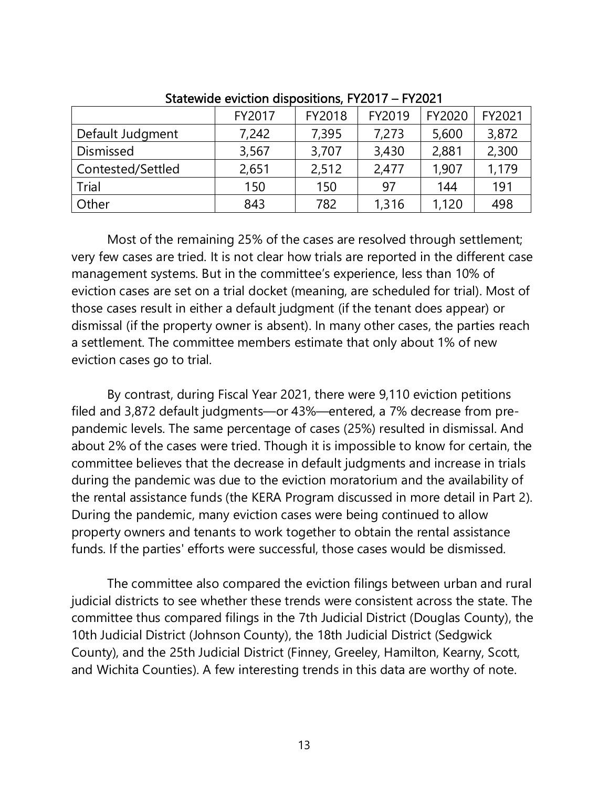|                   | FY2017 | FY2018 | FY2019 | FY2020 | FY2021 |
|-------------------|--------|--------|--------|--------|--------|
| Default Judgment  | 7,242  | 7,395  | 7,273  | 5,600  | 3,872  |
| <b>Dismissed</b>  | 3,567  | 3,707  | 3,430  | 2,881  | 2,300  |
| Contested/Settled | 2,651  | 2,512  | 2,477  | 1,907  | 1,179  |
| Trial             | 150    | 150    | 97     | 144    | 191    |
| Other             | 843    | 782    | 1,316  | 1,120  | 498    |

Statewide eviction dispositions, FY2017 – FY2021

Most of the remaining 25% of the cases are resolved through settlement; very few cases are tried. It is not clear how trials are reported in the different case management systems. But in the committee's experience, less than 10% of eviction cases are set on a trial docket (meaning, are scheduled for trial). Most of those cases result in either a default judgment (if the tenant does appear) or dismissal (if the property owner is absent). In many other cases, the parties reach a settlement. The committee members estimate that only about 1% of new eviction cases go to trial.

By contrast, during Fiscal Year 2021, there were 9,110 eviction petitions filed and 3,872 default judgments—or 43%—entered, a 7% decrease from prepandemic levels. The same percentage of cases (25%) resulted in dismissal. And about 2% of the cases were tried. Though it is impossible to know for certain, the committee believes that the decrease in default judgments and increase in trials during the pandemic was due to the eviction moratorium and the availability of the rental assistance funds (the KERA Program discussed in more detail in Part 2). During the pandemic, many eviction cases were being continued to allow property owners and tenants to work together to obtain the rental assistance funds. If the parties' efforts were successful, those cases would be dismissed.

The committee also compared the eviction filings between urban and rural judicial districts to see whether these trends were consistent across the state. The committee thus compared filings in the 7th Judicial District (Douglas County), the 10th Judicial District (Johnson County), the 18th Judicial District (Sedgwick County), and the 25th Judicial District (Finney, Greeley, Hamilton, Kearny, Scott, and Wichita Counties). A few interesting trends in this data are worthy of note.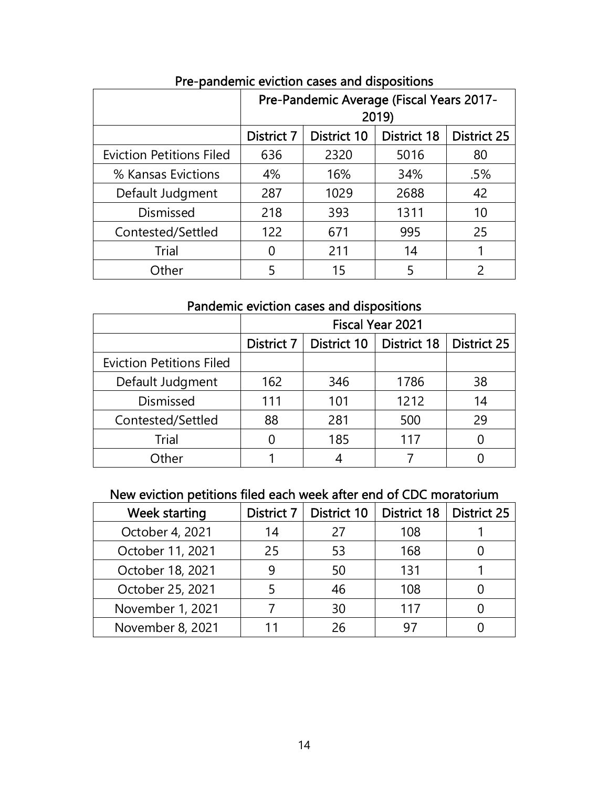|                                 | Pre-Pandemic Average (Fiscal Years 2017-<br>2019) |             |                    |                    |
|---------------------------------|---------------------------------------------------|-------------|--------------------|--------------------|
|                                 | <b>District 7</b>                                 | District 10 | <b>District 18</b> | <b>District 25</b> |
| <b>Eviction Petitions Filed</b> | 636                                               | 2320        | 5016               | 80                 |
| % Kansas Evictions              | 4%                                                | 16%         | 34%                | .5%                |
| Default Judgment                | 287                                               | 1029        | 2688               | 42                 |
| <b>Dismissed</b>                | 218                                               | 393         | 1311               | 10                 |
| Contested/Settled               | 122                                               | 671         | 995                | 25                 |
| <b>Trial</b>                    | O                                                 | 211         | 14                 |                    |
| Other                           | 5                                                 | 15          | 5                  |                    |

Pre-pandemic eviction cases and dispositions

# Pandemic eviction cases and dispositions

|                                 | <b>Fiscal Year 2021</b> |             |                    |                    |
|---------------------------------|-------------------------|-------------|--------------------|--------------------|
|                                 | District 7              | District 10 | <b>District 18</b> | <b>District 25</b> |
| <b>Eviction Petitions Filed</b> |                         |             |                    |                    |
| Default Judgment                | 162                     | 346         | 1786               | 38                 |
| <b>Dismissed</b>                | 111                     | 101         | 1212               | 14                 |
| Contested/Settled               | 88                      | 281         | 500                | 29                 |
| <b>Trial</b>                    |                         | 185         | 117                |                    |
| <sup>1</sup> ther               |                         |             |                    |                    |

# New eviction petitions filed each week after end of CDC moratorium

| <b>Week starting</b> | District 7 | <b>District 10</b> | <b>District 18</b> | <b>District 25</b> |
|----------------------|------------|--------------------|--------------------|--------------------|
| October 4, 2021      | 14         | 27                 | 108                |                    |
| October 11, 2021     | 25         | 53                 | 168                |                    |
| October 18, 2021     |            | 50                 | 131                |                    |
| October 25, 2021     |            | 46                 | 108                |                    |
| November 1, 2021     |            | 30                 | 117                |                    |
| November 8, 2021     |            | 26                 | 97                 |                    |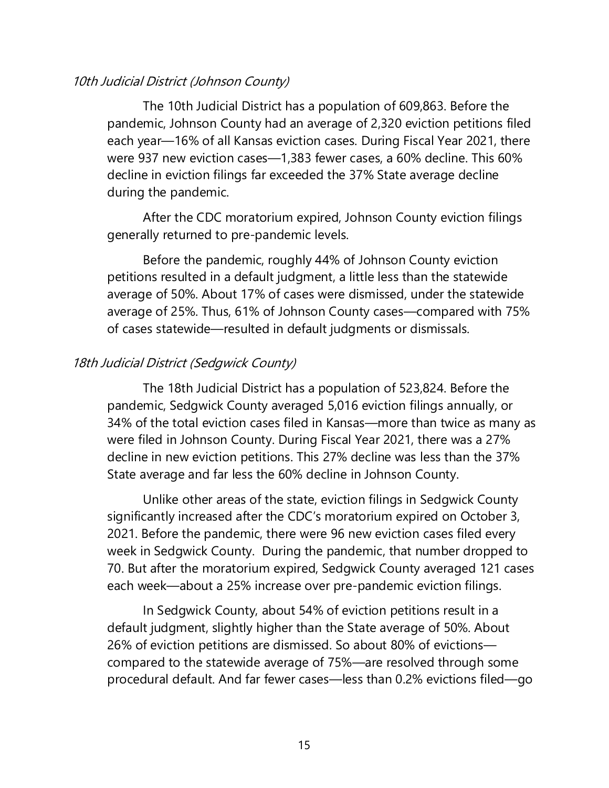#### 10th Judicial District (Johnson County)

The 10th Judicial District has a population of 609,863. Before the pandemic, Johnson County had an average of 2,320 eviction petitions filed each year—16% of all Kansas eviction cases. During Fiscal Year 2021, there were 937 new eviction cases—1,383 fewer cases, a 60% decline. This 60% decline in eviction filings far exceeded the 37% State average decline during the pandemic.

After the CDC moratorium expired, Johnson County eviction filings generally returned to pre-pandemic levels.

 Before the pandemic, roughly 44% of Johnson County eviction petitions resulted in a default judgment, a little less than the statewide average of 50%. About 17% of cases were dismissed, under the statewide average of 25%. Thus, 61% of Johnson County cases—compared with 75% of cases statewide—resulted in default judgments or dismissals.

#### 18th Judicial District (Sedgwick County)

The 18th Judicial District has a population of 523,824. Before the pandemic, Sedgwick County averaged 5,016 eviction filings annually, or 34% of the total eviction cases filed in Kansas—more than twice as many as were filed in Johnson County. During Fiscal Year 2021, there was a 27% decline in new eviction petitions. This 27% decline was less than the 37% State average and far less the 60% decline in Johnson County.

Unlike other areas of the state, eviction filings in Sedgwick County significantly increased after the CDC's moratorium expired on October 3, 2021. Before the pandemic, there were 96 new eviction cases filed every week in Sedgwick County. During the pandemic, that number dropped to 70. But after the moratorium expired, Sedgwick County averaged 121 cases each week—about a 25% increase over pre-pandemic eviction filings.

 In Sedgwick County, about 54% of eviction petitions result in a default judgment, slightly higher than the State average of 50%. About 26% of eviction petitions are dismissed. So about 80% of evictions compared to the statewide average of 75%—are resolved through some procedural default. And far fewer cases—less than 0.2% evictions filed—go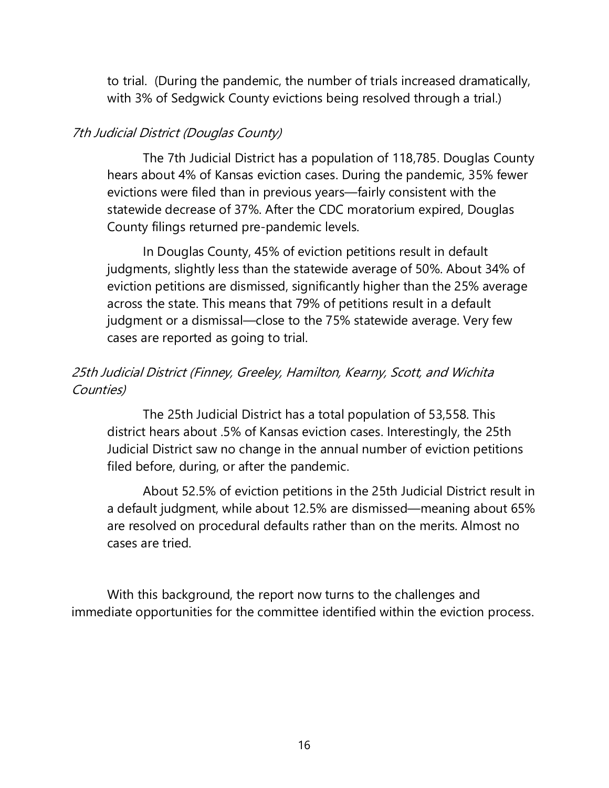to trial. (During the pandemic, the number of trials increased dramatically, with 3% of Sedgwick County evictions being resolved through a trial.)

#### 7th Judicial District (Douglas County)

The 7th Judicial District has a population of 118,785. Douglas County hears about 4% of Kansas eviction cases. During the pandemic, 35% fewer evictions were filed than in previous years—fairly consistent with the statewide decrease of 37%. After the CDC moratorium expired, Douglas County filings returned pre-pandemic levels.

In Douglas County, 45% of eviction petitions result in default judgments, slightly less than the statewide average of 50%. About 34% of eviction petitions are dismissed, significantly higher than the 25% average across the state. This means that 79% of petitions result in a default judgment or a dismissal—close to the 75% statewide average. Very few cases are reported as going to trial.

### 25th Judicial District (Finney, Greeley, Hamilton, Kearny, Scott, and Wichita Counties)

The 25th Judicial District has a total population of 53,558. This district hears about .5% of Kansas eviction cases. Interestingly, the 25th Judicial District saw no change in the annual number of eviction petitions filed before, during, or after the pandemic.

About 52.5% of eviction petitions in the 25th Judicial District result in a default judgment, while about 12.5% are dismissed—meaning about 65% are resolved on procedural defaults rather than on the merits. Almost no cases are tried.

With this background, the report now turns to the challenges and immediate opportunities for the committee identified within the eviction process.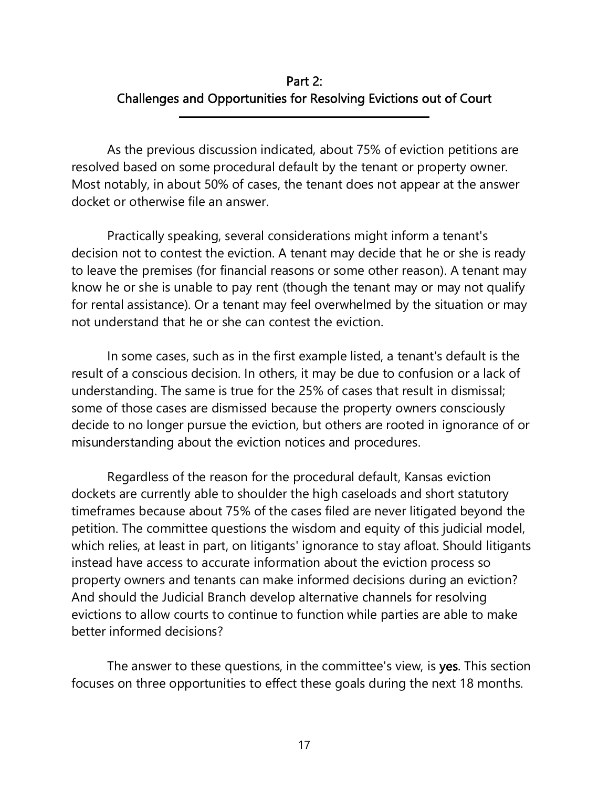# Part 2: Challenges and Opportunities for Resolving Evictions out of Court

 As the previous discussion indicated, about 75% of eviction petitions are resolved based on some procedural default by the tenant or property owner. Most notably, in about 50% of cases, the tenant does not appear at the answer docket or otherwise file an answer.

l

 Practically speaking, several considerations might inform a tenant's decision not to contest the eviction. A tenant may decide that he or she is ready to leave the premises (for financial reasons or some other reason). A tenant may know he or she is unable to pay rent (though the tenant may or may not qualify for rental assistance). Or a tenant may feel overwhelmed by the situation or may not understand that he or she can contest the eviction.

In some cases, such as in the first example listed, a tenant's default is the result of a conscious decision. In others, it may be due to confusion or a lack of understanding. The same is true for the 25% of cases that result in dismissal; some of those cases are dismissed because the property owners consciously decide to no longer pursue the eviction, but others are rooted in ignorance of or misunderstanding about the eviction notices and procedures.

Regardless of the reason for the procedural default, Kansas eviction dockets are currently able to shoulder the high caseloads and short statutory timeframes because about 75% of the cases filed are never litigated beyond the petition. The committee questions the wisdom and equity of this judicial model, which relies, at least in part, on litigants' ignorance to stay afloat. Should litigants instead have access to accurate information about the eviction process so property owners and tenants can make informed decisions during an eviction? And should the Judicial Branch develop alternative channels for resolving evictions to allow courts to continue to function while parties are able to make better informed decisions?

The answer to these questions, in the committee's view, is yes. This section focuses on three opportunities to effect these goals during the next 18 months.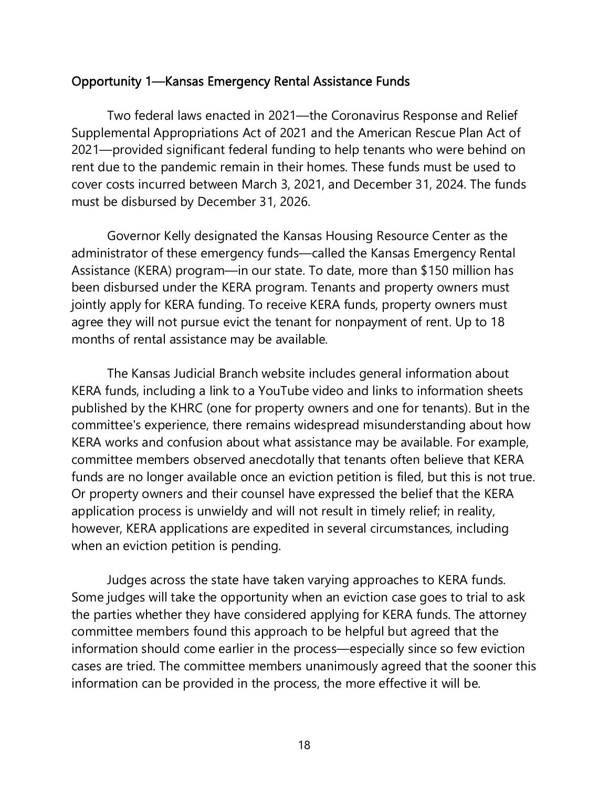#### Opportunity 1—Kansas Emergency Rental Assistance Funds

Two federal laws enacted in 2021—the Coronavirus Response and Relief Supplemental Appropriations Act of 2021 and the American Rescue Plan Act of 2021—provided significant federal funding to help tenants who were behind on rent due to the pandemic remain in their homes. These funds must be used to cover costs incurred between March 3, 2021, and December 31, 2024. The funds must be disbursed by December 31, 2026.

Governor Kelly designated the Kansas Housing Resource Center as the administrator of these emergency funds—called the Kansas Emergency Rental Assistance (KERA) program—in our state. To date, more than \$150 million has been disbursed under the KERA program. Tenants and property owners must jointly apply for KERA funding. To receive KERA funds, property owners must agree they will not pursue evict the tenant for nonpayment of rent. Up to 18 months of rental assistance may be available.

 The Kansas Judicial Branch website includes general information about KERA funds, including a link to a YouTube video and links to information sheets published by the KHRC (one for property owners and one for tenants). But in the committee's experience, there remains widespread misunderstanding about how KERA works and confusion about what assistance may be available. For example, committee members observed anecdotally that tenants often believe that KERA funds are no longer available once an eviction petition is filed, but this is not true. Or property owners and their counsel have expressed the belief that the KERA application process is unwieldy and will not result in timely relief; in reality, however, KERA applications are expedited in several circumstances, including when an eviction petition is pending.

 Judges across the state have taken varying approaches to KERA funds. Some judges will take the opportunity when an eviction case goes to trial to ask the parties whether they have considered applying for KERA funds. The attorney committee members found this approach to be helpful but agreed that the information should come earlier in the process—especially since so few eviction cases are tried. The committee members unanimously agreed that the sooner this information can be provided in the process, the more effective it will be.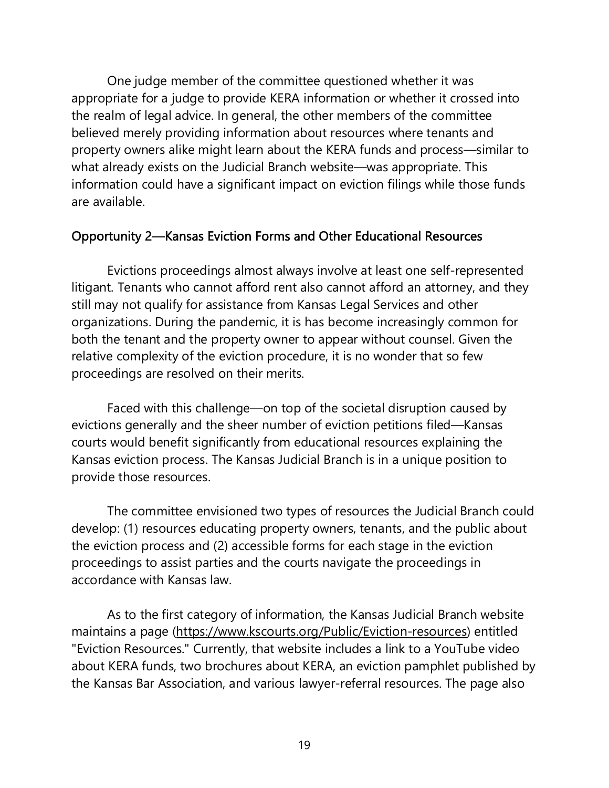One judge member of the committee questioned whether it was appropriate for a judge to provide KERA information or whether it crossed into the realm of legal advice. In general, the other members of the committee believed merely providing information about resources where tenants and property owners alike might learn about the KERA funds and process—similar to what already exists on the Judicial Branch website—was appropriate. This information could have a significant impact on eviction filings while those funds are available.

### Opportunity 2—Kansas Eviction Forms and Other Educational Resources

 Evictions proceedings almost always involve at least one self-represented litigant. Tenants who cannot afford rent also cannot afford an attorney, and they still may not qualify for assistance from Kansas Legal Services and other organizations. During the pandemic, it is has become increasingly common for both the tenant and the property owner to appear without counsel. Given the relative complexity of the eviction procedure, it is no wonder that so few proceedings are resolved on their merits.

 Faced with this challenge—on top of the societal disruption caused by evictions generally and the sheer number of eviction petitions filed—Kansas courts would benefit significantly from educational resources explaining the Kansas eviction process. The Kansas Judicial Branch is in a unique position to provide those resources.

 The committee envisioned two types of resources the Judicial Branch could develop: (1) resources educating property owners, tenants, and the public about the eviction process and (2) accessible forms for each stage in the eviction proceedings to assist parties and the courts navigate the proceedings in accordance with Kansas law.

 As to the first category of information, the Kansas Judicial Branch website maintains a page (https://www.kscourts.org/Public/Eviction-resources) entitled "Eviction Resources." Currently, that website includes a link to a YouTube video about KERA funds, two brochures about KERA, an eviction pamphlet published by the Kansas Bar Association, and various lawyer-referral resources. The page also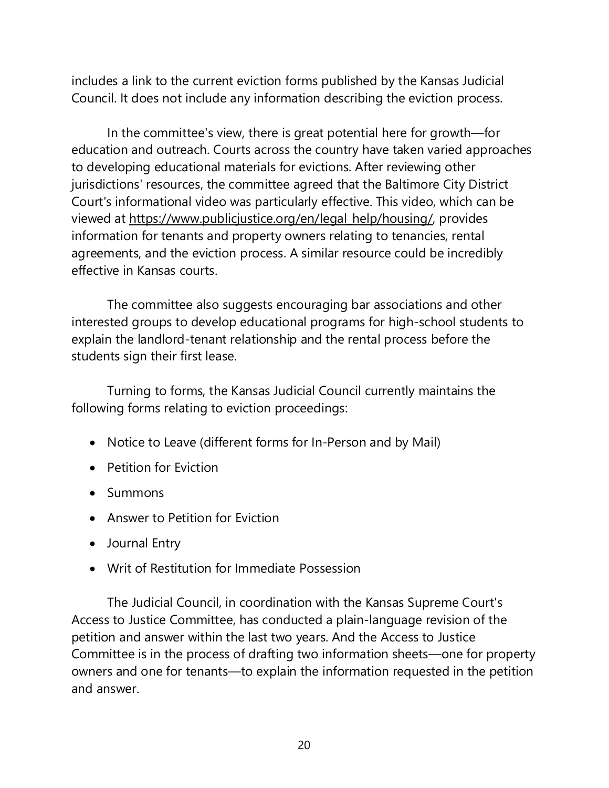includes a link to the current eviction forms published by the Kansas Judicial Council. It does not include any information describing the eviction process.

 In the committee's view, there is great potential here for growth—for education and outreach. Courts across the country have taken varied approaches to developing educational materials for evictions. After reviewing other jurisdictions' resources, the committee agreed that the Baltimore City District Court's informational video was particularly effective. This video, which can be viewed at https://www.publicjustice.org/en/legal\_help/housing/, provides information for tenants and property owners relating to tenancies, rental agreements, and the eviction process. A similar resource could be incredibly effective in Kansas courts.

 The committee also suggests encouraging bar associations and other interested groups to develop educational programs for high-school students to explain the landlord-tenant relationship and the rental process before the students sign their first lease.

 Turning to forms, the Kansas Judicial Council currently maintains the following forms relating to eviction proceedings:

- Notice to Leave (different forms for In-Person and by Mail)
- Petition for Eviction
- Summons
- Answer to Petition for Eviction
- Journal Entry
- Writ of Restitution for Immediate Possession

The Judicial Council, in coordination with the Kansas Supreme Court's Access to Justice Committee, has conducted a plain-language revision of the petition and answer within the last two years. And the Access to Justice Committee is in the process of drafting two information sheets—one for property owners and one for tenants—to explain the information requested in the petition and answer.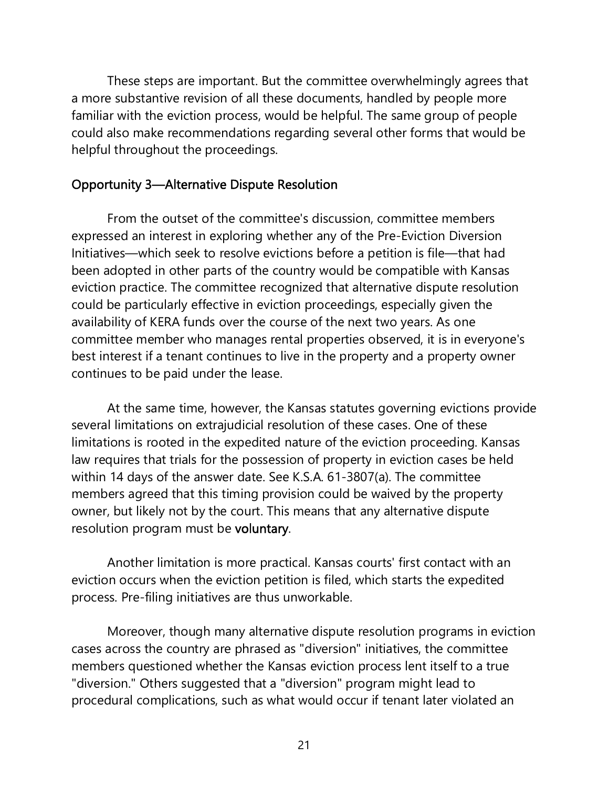These steps are important. But the committee overwhelmingly agrees that a more substantive revision of all these documents, handled by people more familiar with the eviction process, would be helpful. The same group of people could also make recommendations regarding several other forms that would be helpful throughout the proceedings.

#### Opportunity 3—Alternative Dispute Resolution

 From the outset of the committee's discussion, committee members expressed an interest in exploring whether any of the Pre-Eviction Diversion Initiatives—which seek to resolve evictions before a petition is file—that had been adopted in other parts of the country would be compatible with Kansas eviction practice. The committee recognized that alternative dispute resolution could be particularly effective in eviction proceedings, especially given the availability of KERA funds over the course of the next two years. As one committee member who manages rental properties observed, it is in everyone's best interest if a tenant continues to live in the property and a property owner continues to be paid under the lease.

 At the same time, however, the Kansas statutes governing evictions provide several limitations on extrajudicial resolution of these cases. One of these limitations is rooted in the expedited nature of the eviction proceeding. Kansas law requires that trials for the possession of property in eviction cases be held within 14 days of the answer date. See K.S.A. 61-3807(a). The committee members agreed that this timing provision could be waived by the property owner, but likely not by the court. This means that any alternative dispute resolution program must be voluntary.

 Another limitation is more practical. Kansas courts' first contact with an eviction occurs when the eviction petition is filed, which starts the expedited process. Pre-filing initiatives are thus unworkable.

 Moreover, though many alternative dispute resolution programs in eviction cases across the country are phrased as "diversion" initiatives, the committee members questioned whether the Kansas eviction process lent itself to a true "diversion." Others suggested that a "diversion" program might lead to procedural complications, such as what would occur if tenant later violated an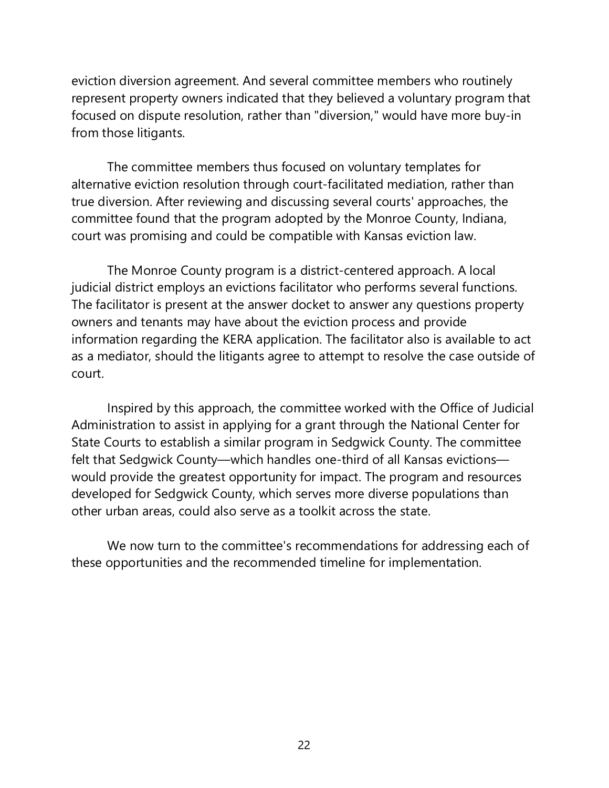eviction diversion agreement. And several committee members who routinely represent property owners indicated that they believed a voluntary program that focused on dispute resolution, rather than "diversion," would have more buy-in from those litigants.

 The committee members thus focused on voluntary templates for alternative eviction resolution through court-facilitated mediation, rather than true diversion. After reviewing and discussing several courts' approaches, the committee found that the program adopted by the Monroe County, Indiana, court was promising and could be compatible with Kansas eviction law.

The Monroe County program is a district-centered approach. A local judicial district employs an evictions facilitator who performs several functions. The facilitator is present at the answer docket to answer any questions property owners and tenants may have about the eviction process and provide information regarding the KERA application. The facilitator also is available to act as a mediator, should the litigants agree to attempt to resolve the case outside of court.

Inspired by this approach, the committee worked with the Office of Judicial Administration to assist in applying for a grant through the National Center for State Courts to establish a similar program in Sedgwick County. The committee felt that Sedgwick County—which handles one-third of all Kansas evictions would provide the greatest opportunity for impact. The program and resources developed for Sedgwick County, which serves more diverse populations than other urban areas, could also serve as a toolkit across the state.

 We now turn to the committee's recommendations for addressing each of these opportunities and the recommended timeline for implementation.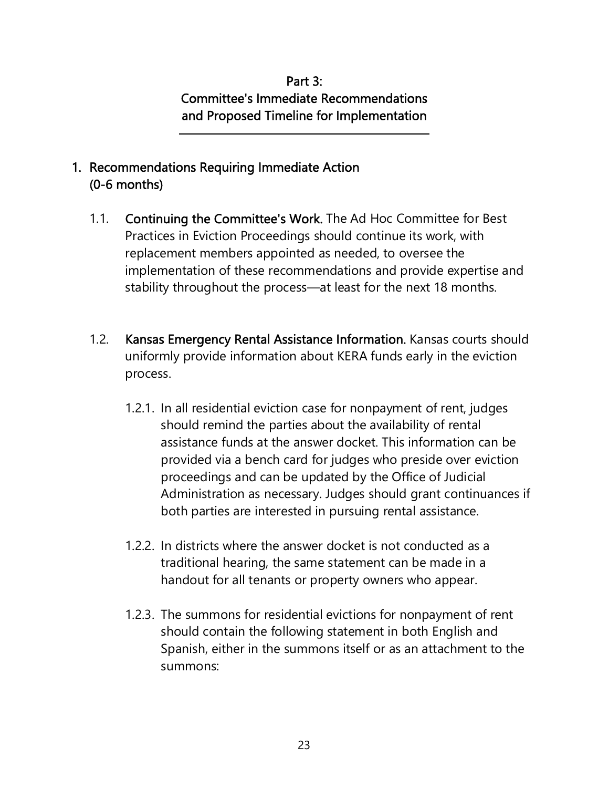# Part 3: Committee's Immediate Recommendations and Proposed Timeline for Implementation

# 1. Recommendations Requiring Immediate Action (0-6 months)

 $\overline{a}$ 

- 1.1. Continuing the Committee's Work. The Ad Hoc Committee for Best Practices in Eviction Proceedings should continue its work, with replacement members appointed as needed, to oversee the implementation of these recommendations and provide expertise and stability throughout the process—at least for the next 18 months.
- 1.2. Kansas Emergency Rental Assistance Information. Kansas courts should uniformly provide information about KERA funds early in the eviction process.
	- 1.2.1. In all residential eviction case for nonpayment of rent, judges should remind the parties about the availability of rental assistance funds at the answer docket. This information can be provided via a bench card for judges who preside over eviction proceedings and can be updated by the Office of Judicial Administration as necessary. Judges should grant continuances if both parties are interested in pursuing rental assistance.
	- 1.2.2. In districts where the answer docket is not conducted as a traditional hearing, the same statement can be made in a handout for all tenants or property owners who appear.
	- 1.2.3. The summons for residential evictions for nonpayment of rent should contain the following statement in both English and Spanish, either in the summons itself or as an attachment to the summons: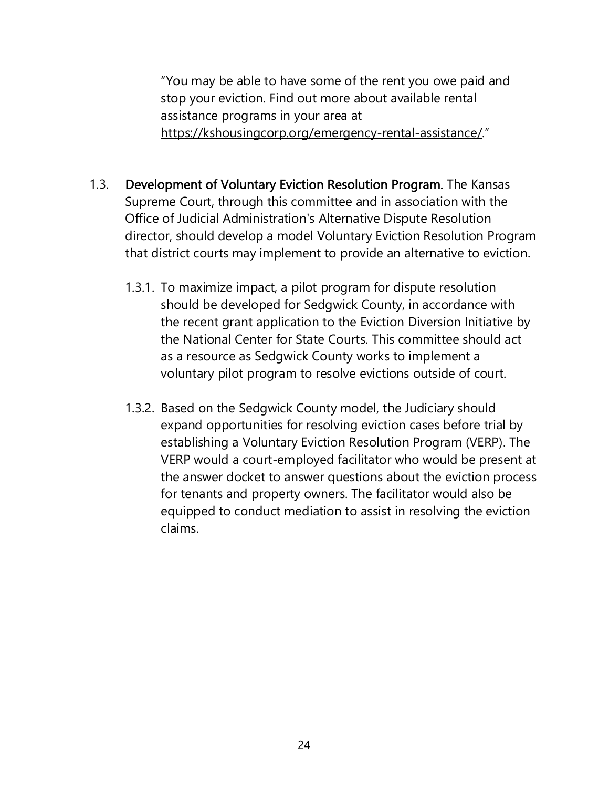"You may be able to have some of the rent you owe paid and stop your eviction. Find out more about available rental assistance programs in your area at https://kshousingcorp.org/emergency-rental-assistance/."

- 1.3. Development of Voluntary Eviction Resolution Program. The Kansas Supreme Court, through this committee and in association with the Office of Judicial Administration's Alternative Dispute Resolution director, should develop a model Voluntary Eviction Resolution Program that district courts may implement to provide an alternative to eviction.
	- 1.3.1. To maximize impact, a pilot program for dispute resolution should be developed for Sedgwick County, in accordance with the recent grant application to the Eviction Diversion Initiative by the National Center for State Courts. This committee should act as a resource as Sedgwick County works to implement a voluntary pilot program to resolve evictions outside of court.
	- 1.3.2. Based on the Sedgwick County model, the Judiciary should expand opportunities for resolving eviction cases before trial by establishing a Voluntary Eviction Resolution Program (VERP). The VERP would a court-employed facilitator who would be present at the answer docket to answer questions about the eviction process for tenants and property owners. The facilitator would also be equipped to conduct mediation to assist in resolving the eviction claims.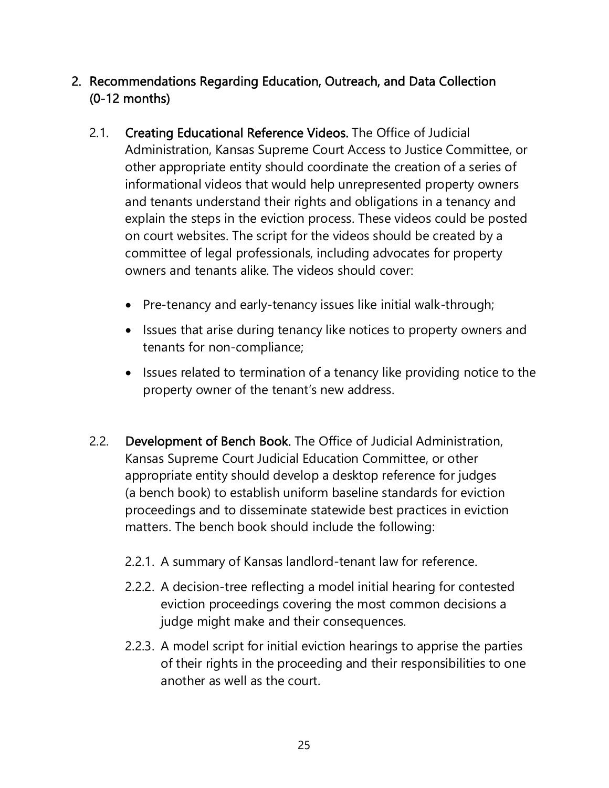# 2. Recommendations Regarding Education, Outreach, and Data Collection (0-12 months)

- 2.1. Creating Educational Reference Videos. The Office of Judicial Administration, Kansas Supreme Court Access to Justice Committee, or other appropriate entity should coordinate the creation of a series of informational videos that would help unrepresented property owners and tenants understand their rights and obligations in a tenancy and explain the steps in the eviction process. These videos could be posted on court websites. The script for the videos should be created by a committee of legal professionals, including advocates for property owners and tenants alike. The videos should cover:
	- Pre-tenancy and early-tenancy issues like initial walk-through;
	- Issues that arise during tenancy like notices to property owners and tenants for non-compliance;
	- Issues related to termination of a tenancy like providing notice to the property owner of the tenant's new address.
- 2.2. Development of Bench Book. The Office of Judicial Administration, Kansas Supreme Court Judicial Education Committee, or other appropriate entity should develop a desktop reference for judges (a bench book) to establish uniform baseline standards for eviction proceedings and to disseminate statewide best practices in eviction matters. The bench book should include the following:
	- 2.2.1. A summary of Kansas landlord-tenant law for reference.
	- 2.2.2. A decision-tree reflecting a model initial hearing for contested eviction proceedings covering the most common decisions a judge might make and their consequences.
	- 2.2.3. A model script for initial eviction hearings to apprise the parties of their rights in the proceeding and their responsibilities to one another as well as the court.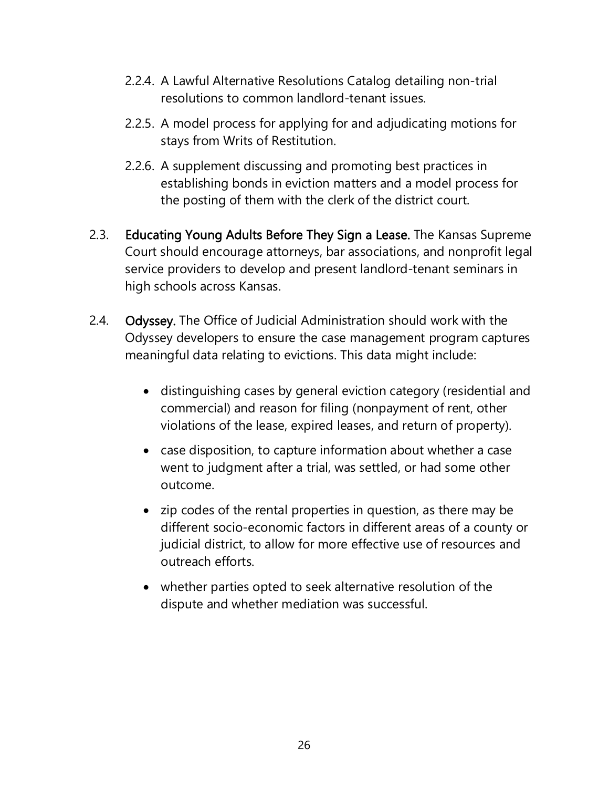- 2.2.4. A Lawful Alternative Resolutions Catalog detailing non-trial resolutions to common landlord-tenant issues.
- 2.2.5. A model process for applying for and adjudicating motions for stays from Writs of Restitution.
- 2.2.6. A supplement discussing and promoting best practices in establishing bonds in eviction matters and a model process for the posting of them with the clerk of the district court.
- 2.3. Educating Young Adults Before They Sign a Lease. The Kansas Supreme Court should encourage attorneys, bar associations, and nonprofit legal service providers to develop and present landlord-tenant seminars in high schools across Kansas.
- 2.4. Odyssey. The Office of Judicial Administration should work with the Odyssey developers to ensure the case management program captures meaningful data relating to evictions. This data might include:
	- distinguishing cases by general eviction category (residential and commercial) and reason for filing (nonpayment of rent, other violations of the lease, expired leases, and return of property).
	- case disposition, to capture information about whether a case went to judgment after a trial, was settled, or had some other outcome.
	- zip codes of the rental properties in question, as there may be different socio-economic factors in different areas of a county or judicial district, to allow for more effective use of resources and outreach efforts.
	- whether parties opted to seek alternative resolution of the dispute and whether mediation was successful.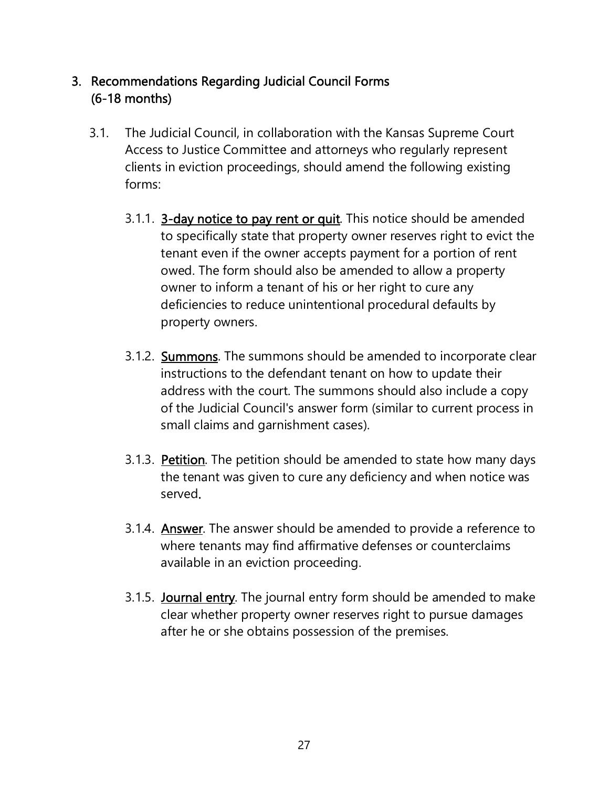### 3. Recommendations Regarding Judicial Council Forms (6-18 months)

- 3.1. The Judicial Council, in collaboration with the Kansas Supreme Court Access to Justice Committee and attorneys who regularly represent clients in eviction proceedings, should amend the following existing forms:
	- 3.1.1. 3-day notice to pay rent or quit. This notice should be amended to specifically state that property owner reserves right to evict the tenant even if the owner accepts payment for a portion of rent owed. The form should also be amended to allow a property owner to inform a tenant of his or her right to cure any deficiencies to reduce unintentional procedural defaults by property owners.
	- 3.1.2. **Summons**. The summons should be amended to incorporate clear instructions to the defendant tenant on how to update their address with the court. The summons should also include a copy of the Judicial Council's answer form (similar to current process in small claims and garnishment cases).
	- 3.1.3. Petition. The petition should be amended to state how many days the tenant was given to cure any deficiency and when notice was served.
	- 3.1.4. **Answer**. The answer should be amended to provide a reference to where tenants may find affirmative defenses or counterclaims available in an eviction proceeding.
	- 3.1.5. **Journal entry**. The journal entry form should be amended to make clear whether property owner reserves right to pursue damages after he or she obtains possession of the premises.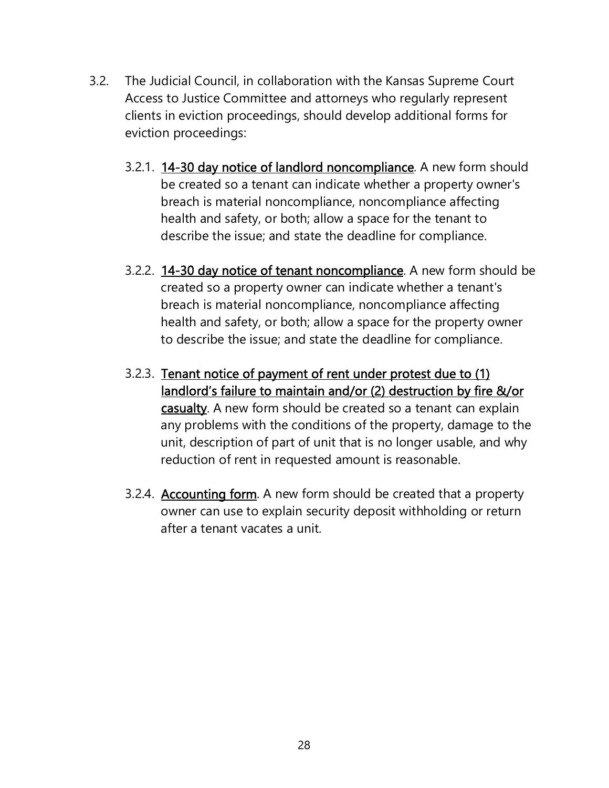- 3.2. The Judicial Council, in collaboration with the Kansas Supreme Court Access to Justice Committee and attorneys who regularly represent clients in eviction proceedings, should develop additional forms for eviction proceedings:
	- 3.2.1. 14-30 day notice of landlord noncompliance. A new form should be created so a tenant can indicate whether a property owner's breach is material noncompliance, noncompliance affecting health and safety, or both; allow a space for the tenant to describe the issue; and state the deadline for compliance.
	- 3.2.2. 14-30 day notice of tenant noncompliance. A new form should be created so a property owner can indicate whether a tenant's breach is material noncompliance, noncompliance affecting health and safety, or both; allow a space for the property owner to describe the issue; and state the deadline for compliance.
	- 3.2.3. Tenant notice of payment of rent under protest due to (1) landlord's failure to maintain and/or (2) destruction by fire &/or casualty. A new form should be created so a tenant can explain any problems with the conditions of the property, damage to the unit, description of part of unit that is no longer usable, and why reduction of rent in requested amount is reasonable.
	- 3.2.4. **Accounting form**. A new form should be created that a property owner can use to explain security deposit withholding or return after a tenant vacates a unit.